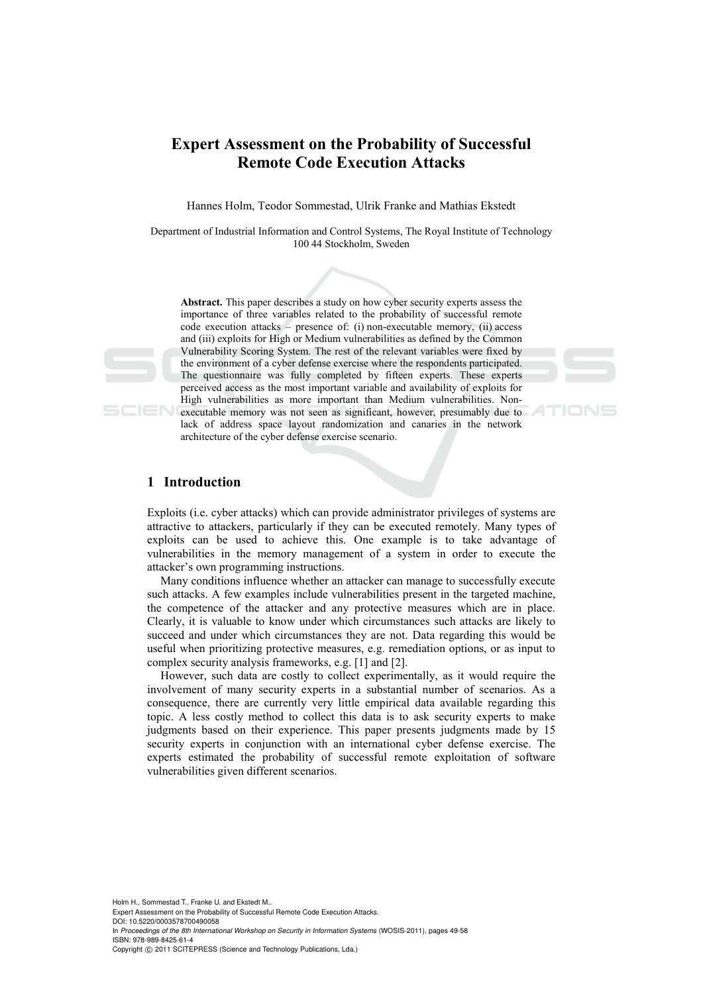# **Expert Assessment on the Probability of Successful Remote Code Execution Attacks**

Hannes Holm, Teodor Sommestad, Ulrik Franke and Mathias Ekstedt

Department of Industrial Information and Control Systems, The Royal Institute of Technology 100 44 Stockholm, Sweden

**Abstract.** This paper describes a study on how cyber security experts assess the importance of three variables related to the probability of successful remote code execution attacks – presence of: (i) non-executable memory, (ii) access and (iii) exploits for High or Medium vulnerabilities as defined by the Common Vulnerability Scoring System. The rest of the relevant variables were fixed by the environment of a cyber defense exercise where the respondents participated. The questionnaire was fully completed by fifteen experts. These experts perceived access as the most important variable and availability of exploits for High vulnerabilities as more important than Medium vulnerabilities. Nonexecutable memory was not seen as significant, however, presumably due to lack of address space layout randomization and canaries in the network architecture of the cyber defense exercise scenario.

### **1 Introduction**

Exploits (i.e. cyber attacks) which can provide administrator privileges of systems are attractive to attackers, particularly if they can be executed remotely. Many types of exploits can be used to achieve this. One example is to take advantage of vulnerabilities in the memory management of a system in order to execute the attacker's own programming instructions.

Many conditions influence whether an attacker can manage to successfully execute such attacks. A few examples include vulnerabilities present in the targeted machine, the competence of the attacker and any protective measures which are in place. Clearly, it is valuable to know under which circumstances such attacks are likely to succeed and under which circumstances they are not. Data regarding this would be useful when prioritizing protective measures, e.g. remediation options, or as input to complex security analysis frameworks, e.g. [1] and [2].

However, such data are costly to collect experimentally, as it would require the involvement of many security experts in a substantial number of scenarios. As a consequence, there are currently very little empirical data available regarding this topic. A less costly method to collect this data is to ask security experts to make judgments based on their experience. This paper presents judgments made by 15 security experts in conjunction with an international cyber defense exercise. The experts estimated the probability of successful remote exploitation of software vulnerabilities given different scenarios.

Holm H., Sommestad T., Franke U. and Ekstedt M..

Expert Assessment on the Probability of Successful Remote Code Execution Attacks. DOI: 10.5220/0003578700490058

In *Proceedings of the 8th International Workshop on Security in Information Systems* (WOSIS-2011), pages 49-58 ISBN: 978-989-8425-61-4

Copyright © 2011 SCITEPRESS (Science and Technology Publications, Lda.)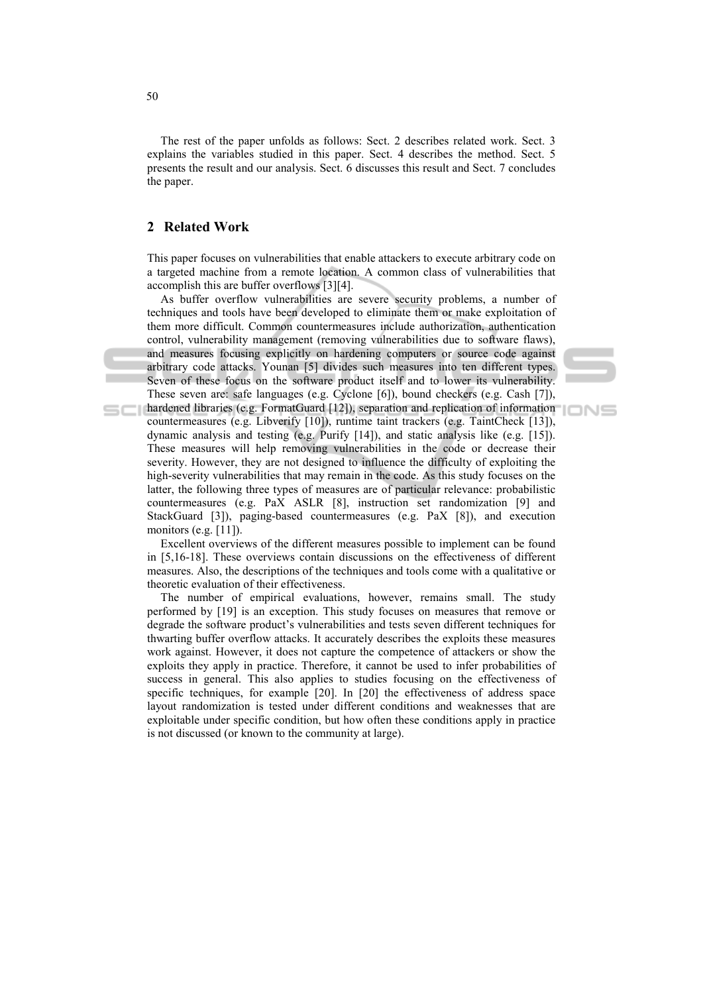The rest of the paper unfolds as follows: Sect. 2 describes related work. Sect. 3 explains the variables studied in this paper. Sect. 4 describes the method. Sect. 5 presents the result and our analysis. Sect. 6 discusses this result and Sect. 7 concludes the paper.

### **2 Related Work**

This paper focuses on vulnerabilities that enable attackers to execute arbitrary code on a targeted machine from a remote location. A common class of vulnerabilities that accomplish this are buffer overflows [3][4].

As buffer overflow vulnerabilities are severe security problems, a number of techniques and tools have been developed to eliminate them or make exploitation of them more difficult. Common countermeasures include authorization, authentication control, vulnerability management (removing vulnerabilities due to software flaws), and measures focusing explicitly on hardening computers or source code against arbitrary code attacks. Younan [5] divides such measures into ten different types. Seven of these focus on the software product itself and to lower its vulnerability. These seven are: safe languages (e.g. Cyclone [6]), bound checkers (e.g. Cash [7]), **hardened libraries (e.g. FormatGuard [12]), separation and replication of information** 

countermeasures (e.g. Libverify [10]), runtime taint trackers (e.g. TaintCheck [13]), dynamic analysis and testing (e.g. Purify [14]), and static analysis like (e.g. [15]). These measures will help removing vulnerabilities in the code or decrease their severity. However, they are not designed to influence the difficulty of exploiting the high-severity vulnerabilities that may remain in the code. As this study focuses on the latter, the following three types of measures are of particular relevance: probabilistic countermeasures (e.g. PaX ASLR [8], instruction set randomization [9] and StackGuard [3]), paging-based countermeasures (e.g. PaX [8]), and execution monitors (e.g. [11]).

Excellent overviews of the different measures possible to implement can be found in [5,16-18]. These overviews contain discussions on the effectiveness of different measures. Also, the descriptions of the techniques and tools come with a qualitative or theoretic evaluation of their effectiveness.

The number of empirical evaluations, however, remains small. The study performed by [19] is an exception. This study focuses on measures that remove or degrade the software product's vulnerabilities and tests seven different techniques for thwarting buffer overflow attacks. It accurately describes the exploits these measures work against. However, it does not capture the competence of attackers or show the exploits they apply in practice. Therefore, it cannot be used to infer probabilities of success in general. This also applies to studies focusing on the effectiveness of specific techniques, for example [20]. In [20] the effectiveness of address space layout randomization is tested under different conditions and weaknesses that are exploitable under specific condition, but how often these conditions apply in practice is not discussed (or known to the community at large).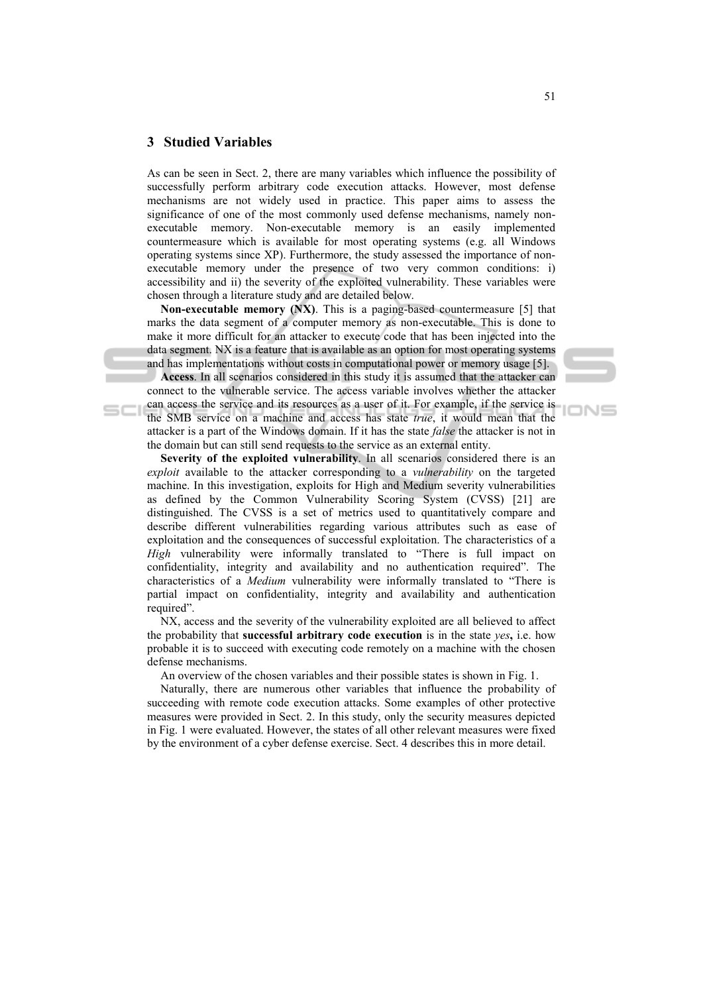# **3 Studied Variables**

As can be seen in Sect. 2, there are many variables which influence the possibility of successfully perform arbitrary code execution attacks. However, most defense mechanisms are not widely used in practice. This paper aims to assess the significance of one of the most commonly used defense mechanisms, namely nonexecutable memory. Non-executable memory is an easily implemented countermeasure which is available for most operating systems (e.g. all Windows operating systems since XP). Furthermore, the study assessed the importance of nonexecutable memory under the presence of two very common conditions: i) accessibility and ii) the severity of the exploited vulnerability. These variables were chosen through a literature study and are detailed below.

**Non-executable memory (NX)**. This is a paging-based countermeasure [5] that marks the data segment of a computer memory as non-executable. This is done to make it more difficult for an attacker to execute code that has been injected into the data segment. NX is a feature that is available as an option for most operating systems and has implementations without costs in computational power or memory usage [5].

**Access**. In all scenarios considered in this study it is assumed that the attacker can connect to the vulnerable service. The access variable involves whether the attacker can access the service and its resources as a user of it. For example, if the service is the SMB service on a machine and access has state *true*, it would mean that the attacker is a part of the Windows domain. If it has the state *false* the attacker is not in the domain but can still send requests to the service as an external entity.

**Severity of the exploited vulnerability**. In all scenarios considered there is an *exploit* available to the attacker corresponding to a *vulnerability* on the targeted machine. In this investigation, exploits for High and Medium severity vulnerabilities as defined by the Common Vulnerability Scoring System (CVSS) [21] are distinguished. The CVSS is a set of metrics used to quantitatively compare and describe different vulnerabilities regarding various attributes such as ease of exploitation and the consequences of successful exploitation. The characteristics of a *High* vulnerability were informally translated to "There is full impact on confidentiality, integrity and availability and no authentication required". The characteristics of a *Medium* vulnerability were informally translated to "There is partial impact on confidentiality, integrity and availability and authentication required".

NX, access and the severity of the vulnerability exploited are all believed to affect the probability that **successful arbitrary code execution** is in the state *yes***,** i.e. how probable it is to succeed with executing code remotely on a machine with the chosen defense mechanisms.

An overview of the chosen variables and their possible states is shown in Fig. 1.

Naturally, there are numerous other variables that influence the probability of succeeding with remote code execution attacks. Some examples of other protective measures were provided in Sect. 2. In this study, only the security measures depicted in Fig. 1 were evaluated. However, the states of all other relevant measures were fixed by the environment of a cyber defense exercise. Sect. 4 describes this in more detail.

IONS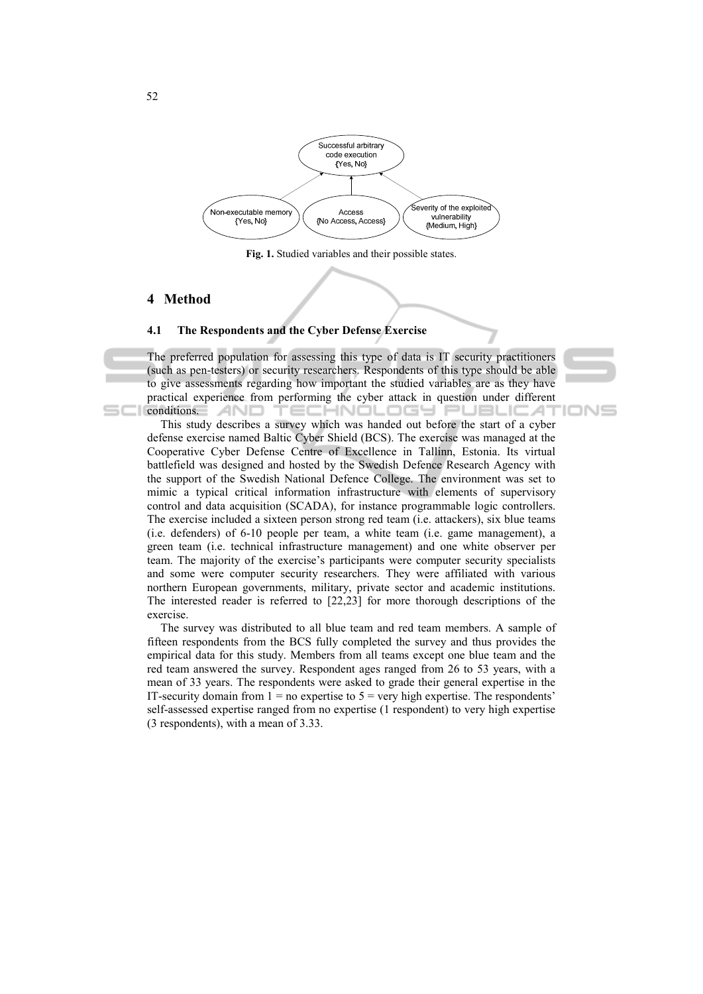

**Fig. 1.** Studied variables and their possible states.

## **4 Method**

#### **4.1 The Respondents and the Cyber Defense Exercise**

The preferred population for assessing this type of data is IT security practitioners (such as pen-testers) or security researchers. Respondents of this type should be able to give assessments regarding how important the studied variables are as they have practical experience from performing the cyber attack in question under different TECHNOLOGY PUBLICAT  $\Box$  conditions.  $\Box$ 

IONS

This study describes a survey which was handed out before the start of a cyber defense exercise named Baltic Cyber Shield (BCS). The exercise was managed at the Cooperative Cyber Defense Centre of Excellence in Tallinn, Estonia. Its virtual battlefield was designed and hosted by the Swedish Defence Research Agency with the support of the Swedish National Defence College. The environment was set to mimic a typical critical information infrastructure with elements of supervisory control and data acquisition (SCADA), for instance programmable logic controllers. The exercise included a sixteen person strong red team (i.e. attackers), six blue teams (i.e. defenders) of 6-10 people per team, a white team (i.e. game management), a green team (i.e. technical infrastructure management) and one white observer per team. The majority of the exercise's participants were computer security specialists and some were computer security researchers. They were affiliated with various northern European governments, military, private sector and academic institutions. The interested reader is referred to [22,23] for more thorough descriptions of the exercise.

The survey was distributed to all blue team and red team members. A sample of fifteen respondents from the BCS fully completed the survey and thus provides the empirical data for this study. Members from all teams except one blue team and the red team answered the survey. Respondent ages ranged from 26 to 53 years, with a mean of 33 years. The respondents were asked to grade their general expertise in the IT-security domain from  $1 = no$  expertise to  $5 = very$  high expertise. The respondents' self-assessed expertise ranged from no expertise (1 respondent) to very high expertise (3 respondents), with a mean of 3.33.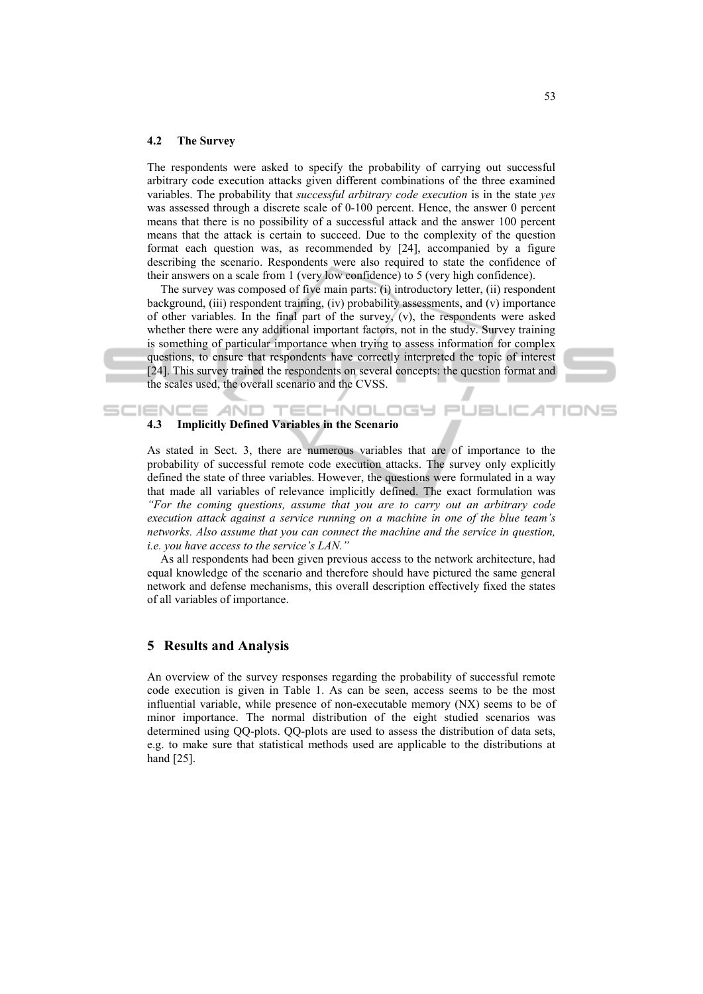#### **4.2 The Survey**

The respondents were asked to specify the probability of carrying out successful arbitrary code execution attacks given different combinations of the three examined variables. The probability that *successful arbitrary code execution* is in the state *yes* was assessed through a discrete scale of 0-100 percent. Hence, the answer 0 percent means that there is no possibility of a successful attack and the answer 100 percent means that the attack is certain to succeed. Due to the complexity of the question format each question was, as recommended by [24], accompanied by a figure describing the scenario. Respondents were also required to state the confidence of their answers on a scale from 1 (very low confidence) to 5 (very high confidence).

The survey was composed of five main parts: (i) introductory letter, (ii) respondent background, (iii) respondent training, (iv) probability assessments, and (v) importance of other variables. In the final part of the survey, (v), the respondents were asked whether there were any additional important factors, not in the study. Survey training is something of particular importance when trying to assess information for complex questions, to ensure that respondents have correctly interpreted the topic of interest [24]. This survey trained the respondents on several concepts: the question format and the scales used, the overall scenario and the CVSS.

### SCIENCE AND TECHNOLOGY **4.3 Implicitly Defined Variables in the Scenario**

As stated in Sect. 3, there are numerous variables that are of importance to the probability of successful remote code execution attacks. The survey only explicitly defined the state of three variables. However, the questions were formulated in a way that made all variables of relevance implicitly defined. The exact formulation was *"For the coming questions, assume that you are to carry out an arbitrary code execution attack against a service running on a machine in one of the blue team's networks. Also assume that you can connect the machine and the service in question, i.e. you have access to the service's LAN."*

As all respondents had been given previous access to the network architecture, had equal knowledge of the scenario and therefore should have pictured the same general network and defense mechanisms, this overall description effectively fixed the states of all variables of importance.

### **5 Results and Analysis**

An overview of the survey responses regarding the probability of successful remote code execution is given in Table 1. As can be seen, access seems to be the most influential variable, while presence of non-executable memory (NX) seems to be of minor importance. The normal distribution of the eight studied scenarios was determined using QQ-plots. QQ-plots are used to assess the distribution of data sets, e.g. to make sure that statistical methods used are applicable to the distributions at hand [25].

**JBLICAT** 

 $=$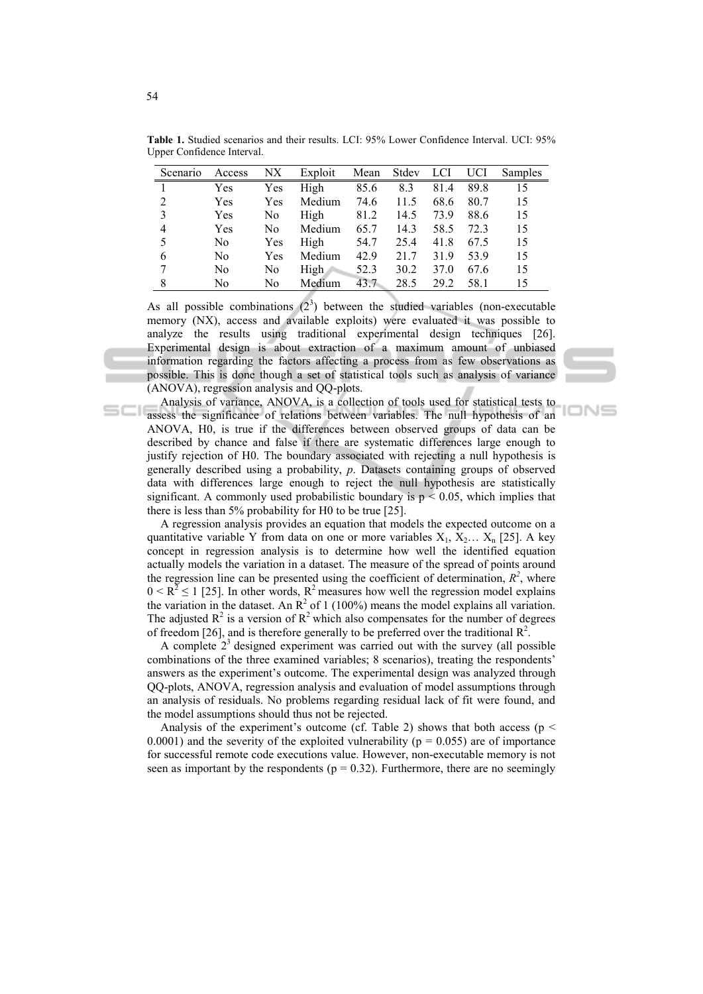| Scenario       | Access         | NX  | Exploit     | Mean | Stdev | LCI  | UCI  | Samples |
|----------------|----------------|-----|-------------|------|-------|------|------|---------|
|                | Yes            | Yes | High        | 85.6 | 8.3   | 81.4 | 89.8 | 15      |
| 2              | Yes            | Yes | Medium      | 74.6 | 11.5  | 68.6 | 80.7 | 15      |
| 3              | Yes            | No  | High        | 81.2 | 14.5  | 73.9 | 88.6 | 15      |
| $\overline{4}$ | Yes            | No  | Medium      | 65.7 | 14.3  | 58.5 | 72.3 | 15      |
| 5              | N <sub>0</sub> | Yes | High        | 54.7 | 25.4  | 41.8 | 67.5 | 15      |
| 6              | N <sub>0</sub> | Yes | Medium      | 42.9 | 21.7  | 31.9 | 53.9 | 15      |
|                | No             | No  | <b>High</b> | 52.3 | 30.2  | 37.0 | 67.6 | 15      |
| 8              | No             | No  | Medium      | 43.7 | 28.5  | 29.2 | 58.1 | 15      |

**Table 1.** Studied scenarios and their results. LCI: 95% Lower Confidence Interval. UCI: 95% Upper Confidence Interval.

As all possible combinations  $(2^3)$  between the studied variables (non-executable memory (NX), access and available exploits) were evaluated it was possible to analyze the results using traditional experimental design techniques [26]. Experimental design is about extraction of a maximum amount of unbiased information regarding the factors affecting a process from as few observations as possible. This is done though a set of statistical tools such as analysis of variance (ANOVA), regression analysis and QQ-plots.

Analysis of variance, ANOVA, is a collection of tools used for statistical tests to assess the significance of relations between variables. The null hypothesis of an ANOVA, H0, is true if the differences between observed groups of data can be described by chance and false if there are systematic differences large enough to justify rejection of H0. The boundary associated with rejecting a null hypothesis is generally described using a probability, *p*. Datasets containing groups of observed data with differences large enough to reject the null hypothesis are statistically significant. A commonly used probabilistic boundary is  $p < 0.05$ , which implies that there is less than 5% probability for H0 to be true [25].

**DNE** 

A regression analysis provides an equation that models the expected outcome on a quantitative variable Y from data on one or more variables  $X_1, X_2, \ldots, X_n$  [25]. A key concept in regression analysis is to determine how well the identified equation actually models the variation in a dataset. The measure of the spread of points around the regression line can be presented using the coefficient of determination,  $R^2$ , where  $0 \le R^2 \le 1$  [25]. In other words,  $R^2$  measures how well the regression model explains the variation in the dataset. An  $\mathbb{R}^2$  of 1 (100%) means the model explains all variation. The adjusted  $\mathbb{R}^2$  is a version of  $\mathbb{R}^2$  which also compensates for the number of degrees of freedom [26], and is therefore generally to be preferred over the traditional  $\mathbb{R}^2$ .

A complete  $2<sup>3</sup>$  designed experiment was carried out with the survey (all possible combinations of the three examined variables; 8 scenarios), treating the respondents' answers as the experiment's outcome. The experimental design was analyzed through QQ-plots, ANOVA, regression analysis and evaluation of model assumptions through an analysis of residuals. No problems regarding residual lack of fit were found, and the model assumptions should thus not be rejected.

Analysis of the experiment's outcome (cf. Table 2) shows that both access ( $p \le$ 0.0001) and the severity of the exploited vulnerability ( $p = 0.055$ ) are of importance for successful remote code executions value. However, non-executable memory is not seen as important by the respondents ( $p = 0.32$ ). Furthermore, there are no seemingly

 $\subseteq$   $\subset$   $\cup$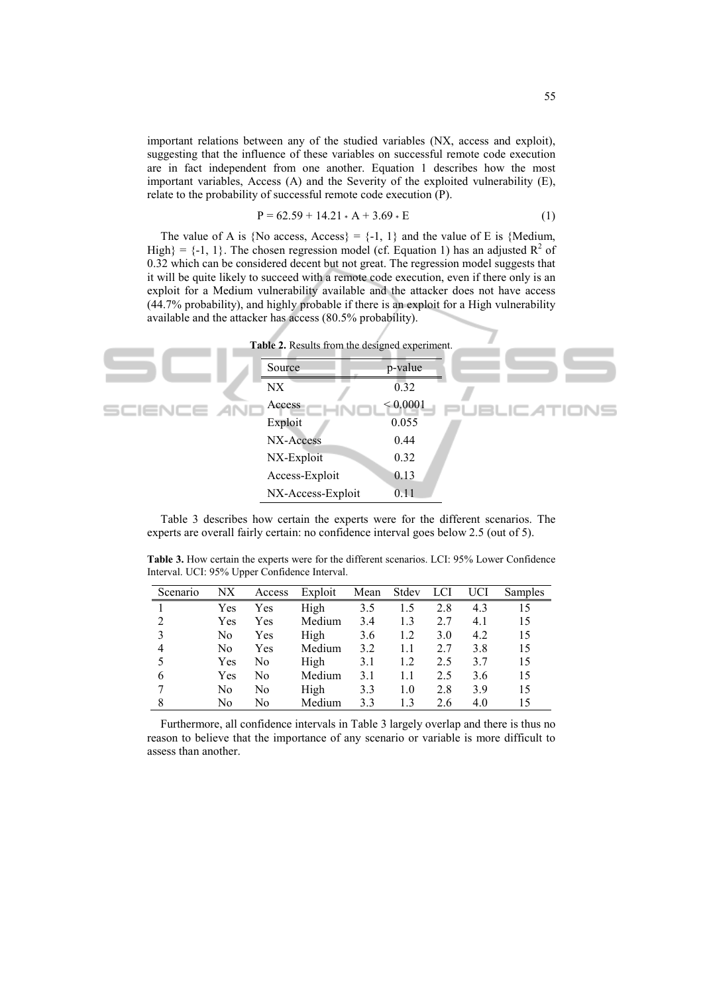important relations between any of the studied variables (NX, access and exploit), suggesting that the influence of these variables on successful remote code execution are in fact independent from one another. Equation 1 describes how the most important variables, Access (A) and the Severity of the exploited vulnerability (E), relate to the probability of successful remote code execution (P).

$$
P = 62.59 + 14.21 \cdot A + 3.69 \cdot E \tag{1}
$$

The value of A is {No access, Access} =  $\{-1, 1\}$  and the value of E is {Medium, High} = {-1, 1}. The chosen regression model (cf. Equation 1) has an adjusted  $R^2$  of 0.32 which can be considered decent but not great. The regression model suggests that it will be quite likely to succeed with a remote code execution, even if there only is an exploit for a Medium vulnerability available and the attacker does not have access (44.7% probability), and highly probable if there is an exploit for a High vulnerability available and the attacker has access (80.5% probability).



Table 3 describes how certain the experts were for the different scenarios. The experts are overall fairly certain: no confidence interval goes below 2.5 (out of 5).

**Table 3.** How certain the experts were for the different scenarios. LCI: 95% Lower Confidence Interval. UCI: 95% Upper Confidence Interval.

| Scenario | NΧ  | Access | Exploit | Mean | Stdev | LCI | UCI | Samples |
|----------|-----|--------|---------|------|-------|-----|-----|---------|
|          | Yes | Yes    | High    | 3.5  | 1.5   | 2.8 | 4.3 | 15      |
|          | Yes | Yes    | Medium  | 3.4  | 1.3   | 2.7 | 4.1 | 15      |
|          | No  | Yes    | High    | 3.6  | 1.2   | 3.0 | 4.2 | 15      |
| 4        | No  | Yes    | Medium  | 3.2  | 1.1   | 2.7 | 3.8 | 15      |
|          | Yes | No     | High    | 3.1  | 1.2   | 2.5 | 3.7 | 15      |
| 6        | Yes | No     | Medium  | 3.1  | 1.1   | 2.5 | 3.6 | 15      |
|          | No  | No     | High    | 3.3  | 1.0   | 2.8 | 3.9 | 15      |
| 8        | No  | No     | Medium  | 3.3  | 13    | 2.6 | 4.0 | 15      |

Furthermore, all confidence intervals in Table 3 largely overlap and there is thus no reason to believe that the importance of any scenario or variable is more difficult to assess than another.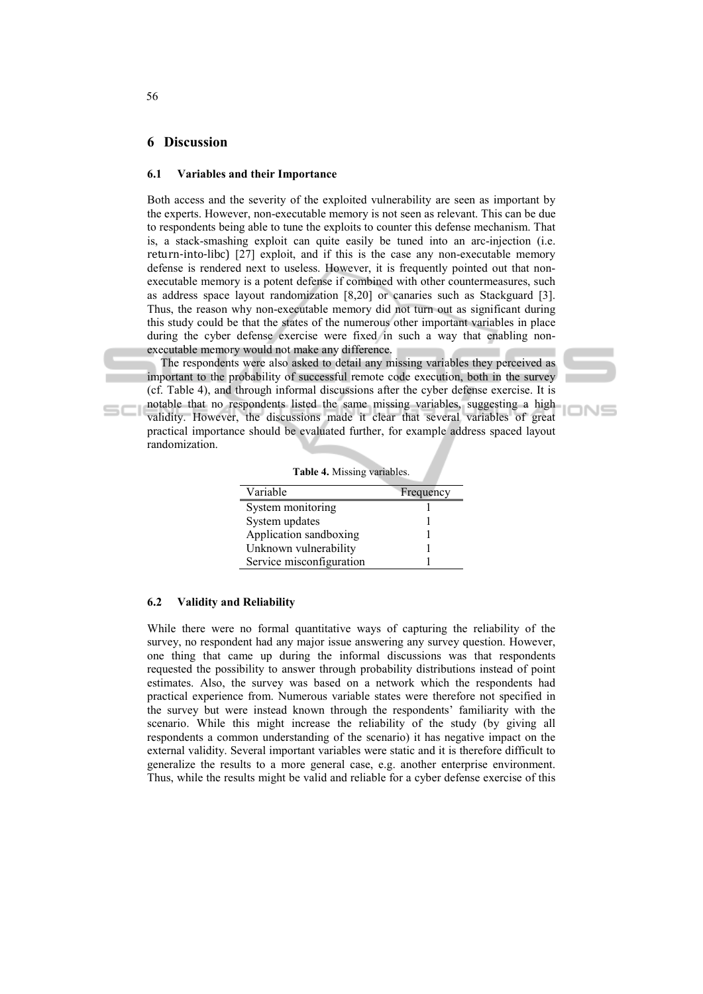#### **6 Discussion**

randomization.

#### **6.1 Variables and their Importance**

Both access and the severity of the exploited vulnerability are seen as important by the experts. However, non-executable memory is not seen as relevant. This can be due to respondents being able to tune the exploits to counter this defense mechanism. That is, a stack-smashing exploit can quite easily be tuned into an arc-injection (i.e. return-into-libc) [27] exploit, and if this is the case any non-executable memory defense is rendered next to useless. However, it is frequently pointed out that nonexecutable memory is a potent defense if combined with other countermeasures, such as address space layout randomization [8,20] or canaries such as Stackguard [3]. Thus, the reason why non-executable memory did not turn out as significant during this study could be that the states of the numerous other important variables in place during the cyber defense exercise were fixed in such a way that enabling nonexecutable memory would not make any difference.

The respondents were also asked to detail any missing variables they perceived as important to the probability of successful remote code execution, both in the survey (cf. Table 4), and through informal discussions after the cyber defense exercise. It is notable that no respondents listed the same missing variables, suggesting a high validity. However, the discussions made it clear that several variables of great practical importance should be evaluated further, for example address spaced layout

IONS

|  | Table 4. Missing variables. |
|--|-----------------------------|

| Variable                 | Frequency |
|--------------------------|-----------|
| System monitoring        |           |
| System updates           |           |
| Application sandboxing   |           |
| Unknown vulnerability    |           |
| Service misconfiguration |           |

#### **6.2 Validity and Reliability**

While there were no formal quantitative ways of capturing the reliability of the survey, no respondent had any major issue answering any survey question. However, one thing that came up during the informal discussions was that respondents requested the possibility to answer through probability distributions instead of point estimates. Also, the survey was based on a network which the respondents had practical experience from. Numerous variable states were therefore not specified in the survey but were instead known through the respondents' familiarity with the scenario. While this might increase the reliability of the study (by giving all respondents a common understanding of the scenario) it has negative impact on the external validity. Several important variables were static and it is therefore difficult to generalize the results to a more general case, e.g. another enterprise environment. Thus, while the results might be valid and reliable for a cyber defense exercise of this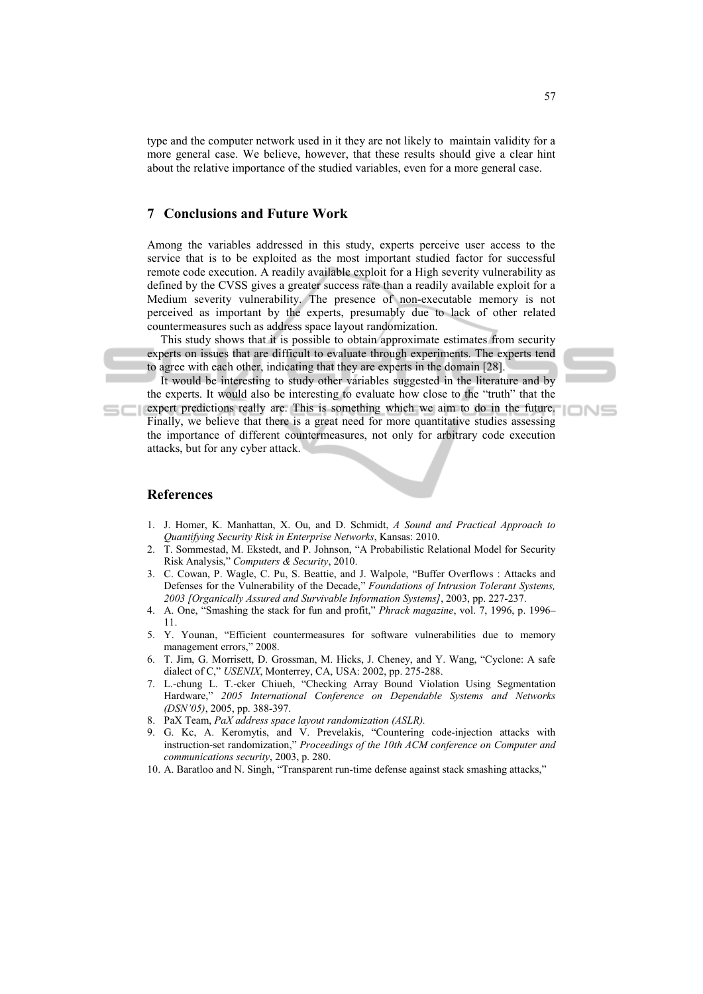type and the computer network used in it they are not likely to maintain validity for a more general case. We believe, however, that these results should give a clear hint about the relative importance of the studied variables, even for a more general case.

# **7 Conclusions and Future Work**

Among the variables addressed in this study, experts perceive user access to the service that is to be exploited as the most important studied factor for successful remote code execution. A readily available exploit for a High severity vulnerability as defined by the CVSS gives a greater success rate than a readily available exploit for a Medium severity vulnerability. The presence of non-executable memory is not perceived as important by the experts, presumably due to lack of other related countermeasures such as address space layout randomization.

This study shows that it is possible to obtain approximate estimates from security experts on issues that are difficult to evaluate through experiments. The experts tend to agree with each other, indicating that they are experts in the domain [28].

It would be interesting to study other variables suggested in the literature and by the experts. It would also be interesting to evaluate how close to the "truth" that the expert predictions really are. This is something which we aim to do in the future.

Finally, we believe that there is a great need for more quantitative studies assessing the importance of different countermeasures, not only for arbitrary code execution attacks, but for any cyber attack.

#### **References**

- 1. J. Homer, K. Manhattan, X. Ou, and D. Schmidt, *A Sound and Practical Approach to Quantifying Security Risk in Enterprise Networks*, Kansas: 2010.
- 2. T. Sommestad, M. Ekstedt, and P. Johnson, "A Probabilistic Relational Model for Security Risk Analysis," *Computers & Security*, 2010.
- 3. C. Cowan, P. Wagle, C. Pu, S. Beattie, and J. Walpole, "Buffer Overflows : Attacks and Defenses for the Vulnerability of the Decade," *Foundations of Intrusion Tolerant Systems, 2003 [Organically Assured and Survivable Information Systems]*, 2003, pp. 227-237.
- 4. A. One, "Smashing the stack for fun and profit," *Phrack magazine*, vol. 7, 1996, p. 1996– 11.
- 5. Y. Younan, "Efficient countermeasures for software vulnerabilities due to memory management errors," 2008.
- 6. T. Jim, G. Morrisett, D. Grossman, M. Hicks, J. Cheney, and Y. Wang, "Cyclone: A safe dialect of C," *USENIX*, Monterrey, CA, USA: 2002, pp. 275-288.
- 7. L.-chung L. T.-cker Chiueh, "Checking Array Bound Violation Using Segmentation Hardware," *2005 International Conference on Dependable Systems and Networks (DSN'05)*, 2005, pp. 388-397.
- 8. PaX Team, *PaX address space layout randomization (ASLR).*
- 9. G. Kc, A. Keromytis, and V. Prevelakis, "Countering code-injection attacks with instruction-set randomization," *Proceedings of the 10th ACM conference on Computer and communications security*, 2003, p. 280.
- 10. A. Baratloo and N. Singh, "Transparent run-time defense against stack smashing attacks,"